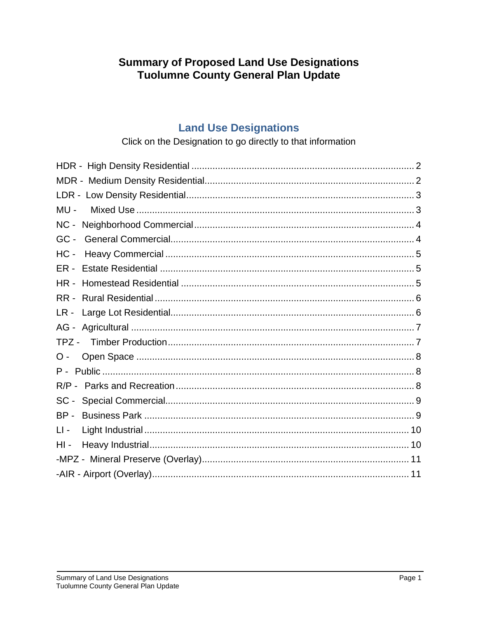# **Summary of Proposed Land Use Designations Tuolumne County General Plan Update**

## **Land Use Designations**

### Click on the Designation to go directly to that information

<span id="page-0-0"></span>

| $MU -$ |  |
|--------|--|
|        |  |
| $GC -$ |  |
| $HC -$ |  |
| ER -   |  |
| HR -   |  |
| RR -   |  |
| LR-    |  |
|        |  |
| TPZ -  |  |
| О -    |  |
|        |  |
|        |  |
| $SC -$ |  |
| $BP -$ |  |
| LI -   |  |
| $HI$ - |  |
|        |  |
|        |  |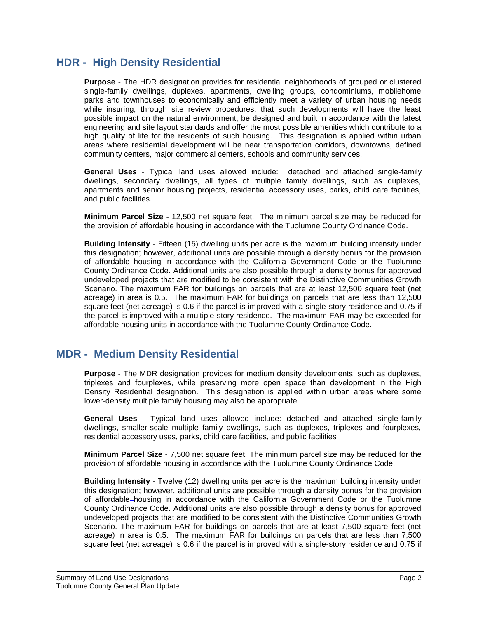## **HDR - High Density Residential**

**Purpose** - The HDR designation provides for residential neighborhoods of grouped or clustered single-family dwellings, duplexes, apartments, dwelling groups, condominiums, mobilehome parks and townhouses to economically and efficiently meet a variety of urban housing needs while insuring, through site review procedures, that such developments will have the least possible impact on the natural environment, be designed and built in accordance with the latest engineering and site layout standards and offer the most possible amenities which contribute to a high quality of life for the residents of such housing. This designation is applied within urban areas where residential development will be near transportation corridors, downtowns, defined community centers, major commercial centers, schools and community services.

**General Uses** - Typical land uses allowed include: detached and attached single-family dwellings, secondary dwellings, all types of multiple family dwellings, such as duplexes, apartments and senior housing projects, residential accessory uses, parks, child care facilities, and public facilities.

**Minimum Parcel Size** - 12,500 net square feet. The minimum parcel size may be reduced for the provision of affordable housing in accordance with the Tuolumne County Ordinance Code.

**Building Intensity** - Fifteen (15) dwelling units per acre is the maximum building intensity under this designation; however, additional units are possible through a density bonus for the provision of affordable housing in accordance with the California Government Code or the Tuolumne County Ordinance Code. Additional units are also possible through a density bonus for approved undeveloped projects that are modified to be consistent with the Distinctive Communities Growth Scenario. The maximum FAR for buildings on parcels that are at least 12,500 square feet (net acreage) in area is 0.5. The maximum FAR for buildings on parcels that are less than 12,500 square feet (net acreage) is 0.6 if the parcel is improved with a single-story residence and 0.75 if the parcel is improved with a multiple-story residence. The maximum FAR may be exceeded for affordable housing units in accordance with the Tuolumne County Ordinance Code.

## <span id="page-1-0"></span>**MDR - Medium Density Residential**

**Purpose** - The MDR designation provides for medium density developments, such as duplexes, triplexes and fourplexes, while preserving more open space than development in the High Density Residential designation. This designation is applied within urban areas where some lower-density multiple family housing may also be appropriate.

**General Uses** - Typical land uses allowed include: detached and attached single-family dwellings, smaller-scale multiple family dwellings, such as duplexes, triplexes and fourplexes, residential accessory uses, parks, child care facilities, and public facilities

**Minimum Parcel Size** - 7,500 net square feet. The minimum parcel size may be reduced for the provision of affordable housing in accordance with the Tuolumne County Ordinance Code.

**Building Intensity** - Twelve (12) dwelling units per acre is the maximum building intensity under this designation; however, additional units are possible through a density bonus for the provision of affordable housing in accordance with the California Government Code or the Tuolumne County Ordinance Code. Additional units are also possible through a density bonus for approved undeveloped projects that are modified to be consistent with the Distinctive Communities Growth Scenario. The maximum FAR for buildings on parcels that are at least 7,500 square feet (net acreage) in area is 0.5. The maximum FAR for buildings on parcels that are less than 7,500 square feet (net acreage) is 0.6 if the parcel is improved with a single-story residence and 0.75 if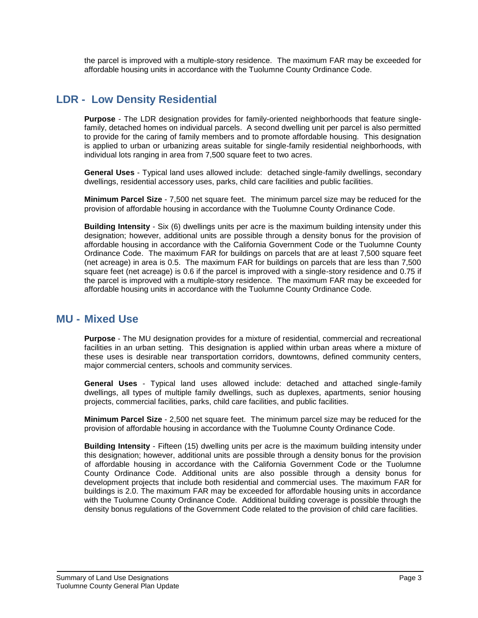the parcel is improved with a multiple-story residence. The maximum FAR may be exceeded for affordable housing units in accordance with the Tuolumne County Ordinance Code.

## <span id="page-2-0"></span>**LDR - Low Density Residential**

**Purpose** - The LDR designation provides for family-oriented neighborhoods that feature singlefamily, detached homes on individual parcels. A second dwelling unit per parcel is also permitted to provide for the caring of family members and to promote affordable housing. This designation is applied to urban or urbanizing areas suitable for single-family residential neighborhoods, with individual lots ranging in area from 7,500 square feet to two acres.

**General Uses** - Typical land uses allowed include: detached single-family dwellings, secondary dwellings, residential accessory uses, parks, child care facilities and public facilities.

**Minimum Parcel Size** - 7,500 net square feet. The minimum parcel size may be reduced for the provision of affordable housing in accordance with the Tuolumne County Ordinance Code.

**Building Intensity** - Six (6) dwellings units per acre is the maximum building intensity under this designation; however, additional units are possible through a density bonus for the provision of affordable housing in accordance with the California Government Code or the Tuolumne County Ordinance Code. The maximum FAR for buildings on parcels that are at least 7,500 square feet (net acreage) in area is 0.5. The maximum FAR for buildings on parcels that are less than 7,500 square feet (net acreage) is 0.6 if the parcel is improved with a single-story residence and 0.75 if the parcel is improved with a multiple-story residence. The maximum FAR may be exceeded for affordable housing units in accordance with the Tuolumne County Ordinance Code.

## <span id="page-2-1"></span>**MU - Mixed Use**

**Purpose** - The MU designation provides for a mixture of residential, commercial and recreational facilities in an urban setting. This designation is applied within urban areas where a mixture of these uses is desirable near transportation corridors, downtowns, defined community centers, major commercial centers, schools and community services.

**General Uses** - Typical land uses allowed include: detached and attached single-family dwellings, all types of multiple family dwellings, such as duplexes, apartments, senior housing projects, commercial facilities, parks, child care facilities, and public facilities.

**Minimum Parcel Size** - 2,500 net square feet. The minimum parcel size may be reduced for the provision of affordable housing in accordance with the Tuolumne County Ordinance Code.

**Building Intensity** - Fifteen (15) dwelling units per acre is the maximum building intensity under this designation; however, additional units are possible through a density bonus for the provision of affordable housing in accordance with the California Government Code or the Tuolumne County Ordinance Code. Additional units are also possible through a density bonus for development projects that include both residential and commercial uses. The maximum FAR for buildings is 2.0. The maximum FAR may be exceeded for affordable housing units in accordance with the Tuolumne County Ordinance Code. Additional building coverage is possible through the density bonus regulations of the Government Code related to the provision of child care facilities.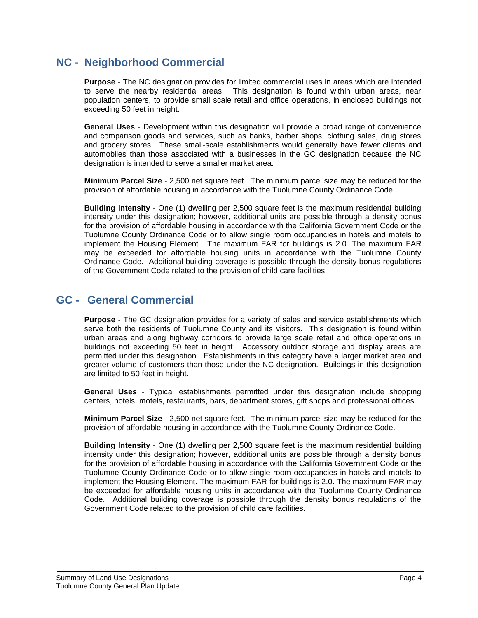## <span id="page-3-0"></span>**NC - Neighborhood Commercial**

**Purpose** - The NC designation provides for limited commercial uses in areas which are intended to serve the nearby residential areas. This designation is found within urban areas, near population centers, to provide small scale retail and office operations, in enclosed buildings not exceeding 50 feet in height.

**General Uses** - Development within this designation will provide a broad range of convenience and comparison goods and services, such as banks, barber shops, clothing sales, drug stores and grocery stores. These small-scale establishments would generally have fewer clients and automobiles than those associated with a businesses in the GC designation because the NC designation is intended to serve a smaller market area.

**Minimum Parcel Size** - 2,500 net square feet. The minimum parcel size may be reduced for the provision of affordable housing in accordance with the Tuolumne County Ordinance Code.

**Building Intensity** - One (1) dwelling per 2,500 square feet is the maximum residential building intensity under this designation; however, additional units are possible through a density bonus for the provision of affordable housing in accordance with the California Government Code or the Tuolumne County Ordinance Code or to allow single room occupancies in hotels and motels to implement the Housing Element. The maximum FAR for buildings is 2.0. The maximum FAR may be exceeded for affordable housing units in accordance with the Tuolumne County Ordinance Code.Additional building coverage is possible through the density bonus regulations of the Government Code related to the provision of child care facilities.

## <span id="page-3-1"></span>**GC - General Commercial**

**Purpose** - The GC designation provides for a variety of sales and service establishments which serve both the residents of Tuolumne County and its visitors. This designation is found within urban areas and along highway corridors to provide large scale retail and office operations in buildings not exceeding 50 feet in height. Accessory outdoor storage and display areas are permitted under this designation. Establishments in this category have a larger market area and greater volume of customers than those under the NC designation. Buildings in this designation are limited to 50 feet in height.

**General Uses** - Typical establishments permitted under this designation include shopping centers, hotels, motels, restaurants, bars, department stores, gift shops and professional offices.

**Minimum Parcel Size** - 2,500 net square feet. The minimum parcel size may be reduced for the provision of affordable housing in accordance with the Tuolumne County Ordinance Code.

**Building Intensity** - One (1) dwelling per 2,500 square feet is the maximum residential building intensity under this designation; however, additional units are possible through a density bonus for the provision of affordable housing in accordance with the California Government Code or the Tuolumne County Ordinance Code or to allow single room occupancies in hotels and motels to implement the Housing Element. The maximum FAR for buildings is 2.0. The maximum FAR may be exceeded for affordable housing units in accordance with the Tuolumne County Ordinance Code.Additional building coverage is possible through the density bonus regulations of the Government Code related to the provision of child care facilities.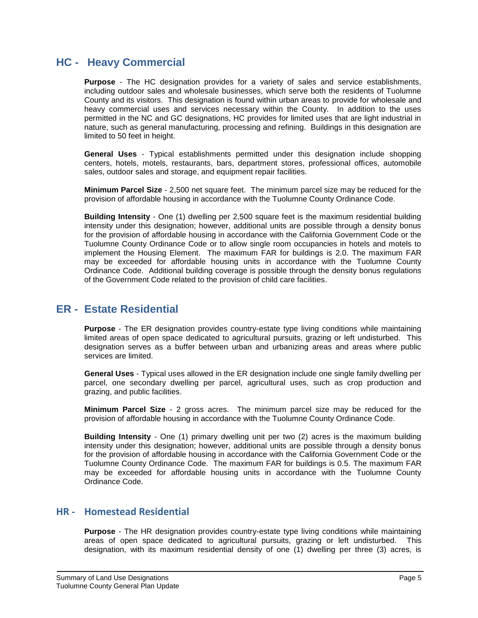## <span id="page-4-0"></span>**HC - Heavy Commercial**

**Purpose** - The HC designation provides for a variety of sales and service establishments, including outdoor sales and wholesale businesses, which serve both the residents of Tuolumne County and its visitors. This designation is found within urban areas to provide for wholesale and heavy commercial uses and services necessary within the County. In addition to the uses permitted in the NC and GC designations, HC provides for limited uses that are light industrial in nature, such as general manufacturing, processing and refining. Buildings in this designation are limited to 50 feet in height.

**General Uses** - Typical establishments permitted under this designation include shopping centers, hotels, motels, restaurants, bars, department stores, professional offices, automobile sales, outdoor sales and storage, and equipment repair facilities.

**Minimum Parcel Size** - 2,500 net square feet. The minimum parcel size may be reduced for the provision of affordable housing in accordance with the Tuolumne County Ordinance Code.

**Building Intensity** - One (1) dwelling per 2,500 square feet is the maximum residential building intensity under this designation; however, additional units are possible through a density bonus for the provision of affordable housing in accordance with the California Government Code or the Tuolumne County Ordinance Code or to allow single room occupancies in hotels and motels to implement the Housing Element. The maximum FAR for buildings is 2.0. The maximum FAR may be exceeded for affordable housing units in accordance with the Tuolumne County Ordinance Code. Additional building coverage is possible through the density bonus regulations of the Government Code related to the provision of child care facilities.

## <span id="page-4-1"></span>**ER - Estate Residential**

**Purpose** - The ER designation provides country-estate type living conditions while maintaining limited areas of open space dedicated to agricultural pursuits, grazing or left undisturbed. This designation serves as a buffer between urban and urbanizing areas and areas where public services are limited.

**General Uses** - Typical uses allowed in the ER designation include one single family dwelling per parcel, one secondary dwelling per parcel, agricultural uses, such as crop production and grazing, and public facilities.

**Minimum Parcel Size** - 2 gross acres. The minimum parcel size may be reduced for the provision of affordable housing in accordance with the Tuolumne County Ordinance Code.

**Building Intensity** - One (1) primary dwelling unit per two (2) acres is the maximum building intensity under this designation; however, additional units are possible through a density bonus for the provision of affordable housing in accordance with the California Government Code or the Tuolumne County Ordinance Code. The maximum FAR for buildings is 0.5. The maximum FAR may be exceeded for affordable housing units in accordance with the Tuolumne County Ordinance Code.

#### <span id="page-4-2"></span>**HR - Homestead Residential**

**Purpose** - The HR designation provides country-estate type living conditions while maintaining areas of open space dedicated to agricultural pursuits, grazing or left undisturbed. This designation, with its maximum residential density of one (1) dwelling per three (3) acres, is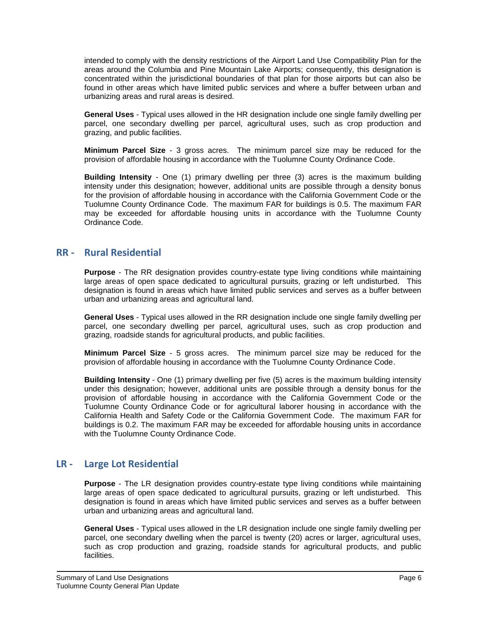intended to comply with the density restrictions of the Airport Land Use Compatibility Plan for the areas around the Columbia and Pine Mountain Lake Airports; consequently, this designation is concentrated within the jurisdictional boundaries of that plan for those airports but can also be found in other areas which have limited public services and where a buffer between urban and urbanizing areas and rural areas is desired.

**General Uses** - Typical uses allowed in the HR designation include one single family dwelling per parcel, one secondary dwelling per parcel, agricultural uses, such as crop production and grazing, and public facilities.

**Minimum Parcel Size** - 3 gross acres. The minimum parcel size may be reduced for the provision of affordable housing in accordance with the Tuolumne County Ordinance Code.

**Building Intensity** - One (1) primary dwelling per three (3) acres is the maximum building intensity under this designation; however, additional units are possible through a density bonus for the provision of affordable housing in accordance with the California Government Code or the Tuolumne County Ordinance Code. The maximum FAR for buildings is 0.5. The maximum FAR may be exceeded for affordable housing units in accordance with the Tuolumne County Ordinance Code.

#### <span id="page-5-0"></span>**RR - Rural Residential**

**Purpose** - The RR designation provides country-estate type living conditions while maintaining large areas of open space dedicated to agricultural pursuits, grazing or left undisturbed. This designation is found in areas which have limited public services and serves as a buffer between urban and urbanizing areas and agricultural land.

**General Uses** - Typical uses allowed in the RR designation include one single family dwelling per parcel, one secondary dwelling per parcel, agricultural uses, such as crop production and grazing, roadside stands for agricultural products, and public facilities.

**Minimum Parcel Size** - 5 gross acres. The minimum parcel size may be reduced for the provision of affordable housing in accordance with the Tuolumne County Ordinance Code.

**Building Intensity** - One (1) primary dwelling per five (5) acres is the maximum building intensity under this designation; however, additional units are possible through a density bonus for the provision of affordable housing in accordance with the California Government Code or the Tuolumne County Ordinance Code or for agricultural laborer housing in accordance with the California Health and Safety Code or the California Government Code. The maximum FAR for buildings is 0.2. The maximum FAR may be exceeded for affordable housing units in accordance with the Tuolumne County Ordinance Code.

#### <span id="page-5-1"></span>**LR - Large Lot Residential**

**Purpose** - The LR designation provides country-estate type living conditions while maintaining large areas of open space dedicated to agricultural pursuits, grazing or left undisturbed. This designation is found in areas which have limited public services and serves as a buffer between urban and urbanizing areas and agricultural land.

**General Uses** - Typical uses allowed in the LR designation include one single family dwelling per parcel, one secondary dwelling when the parcel is twenty (20) acres or larger, agricultural uses, such as crop production and grazing, roadside stands for agricultural products, and public facilities.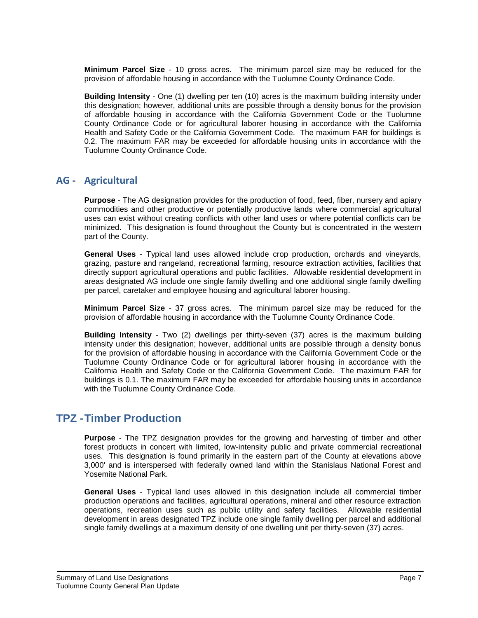**Minimum Parcel Size** - 10 gross acres. The minimum parcel size may be reduced for the provision of affordable housing in accordance with the Tuolumne County Ordinance Code.

**Building Intensity** - One (1) dwelling per ten (10) acres is the maximum building intensity under this designation; however, additional units are possible through a density bonus for the provision of affordable housing in accordance with the California Government Code or the Tuolumne County Ordinance Code or for agricultural laborer housing in accordance with the California Health and Safety Code or the California Government Code. The maximum FAR for buildings is 0.2. The maximum FAR may be exceeded for affordable housing units in accordance with the Tuolumne County Ordinance Code.

### <span id="page-6-0"></span>**AG - Agricultural**

**Purpose** - The AG designation provides for the production of food, feed, fiber, nursery and apiary commodities and other productive or potentially productive lands where commercial agricultural uses can exist without creating conflicts with other land uses or where potential conflicts can be minimized. This designation is found throughout the County but is concentrated in the western part of the County.

**General Uses** - Typical land uses allowed include crop production, orchards and vineyards, grazing, pasture and rangeland, recreational farming, resource extraction activities, facilities that directly support agricultural operations and public facilities. Allowable residential development in areas designated AG include one single family dwelling and one additional single family dwelling per parcel, caretaker and employee housing and agricultural laborer housing.

**Minimum Parcel Size** - 37 gross acres. The minimum parcel size may be reduced for the provision of affordable housing in accordance with the Tuolumne County Ordinance Code.

**Building Intensity** - Two (2) dwellings per thirty-seven (37) acres is the maximum building intensity under this designation; however, additional units are possible through a density bonus for the provision of affordable housing in accordance with the California Government Code or the Tuolumne County Ordinance Code or for agricultural laborer housing in accordance with the California Health and Safety Code or the California Government Code. The maximum FAR for buildings is 0.1. The maximum FAR may be exceeded for affordable housing units in accordance with the Tuolumne County Ordinance Code.

## <span id="page-6-1"></span>**TPZ -Timber Production**

**Purpose** - The TPZ designation provides for the growing and harvesting of timber and other forest products in concert with limited, low-intensity public and private commercial recreational uses. This designation is found primarily in the eastern part of the County at elevations above 3,000' and is interspersed with federally owned land within the Stanislaus National Forest and Yosemite National Park.

**General Uses** - Typical land uses allowed in this designation include all commercial timber production operations and facilities, agricultural operations, mineral and other resource extraction operations, recreation uses such as public utility and safety facilities. Allowable residential development in areas designated TPZ include one single family dwelling per parcel and additional single family dwellings at a maximum density of one dwelling unit per thirty-seven (37) acres.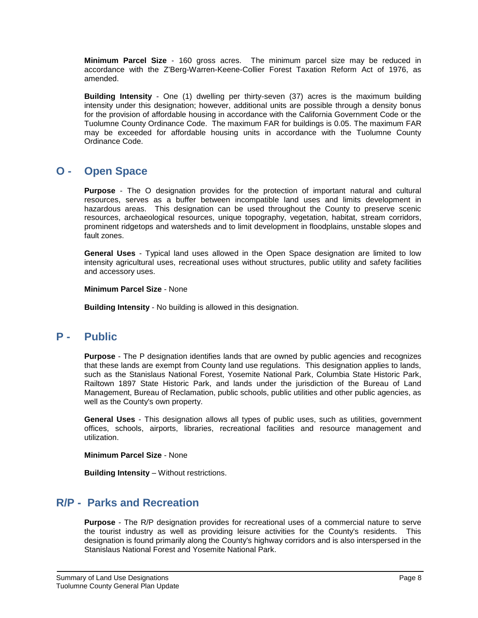**Minimum Parcel Size** - 160 gross acres. The minimum parcel size may be reduced in accordance with the Z'Berg-Warren-Keene-Collier Forest Taxation Reform Act of 1976, as amended.

**Building Intensity** - One (1) dwelling per thirty-seven (37) acres is the maximum building intensity under this designation; however, additional units are possible through a density bonus for the provision of affordable housing in accordance with the California Government Code or the Tuolumne County Ordinance Code. The maximum FAR for buildings is 0.05. The maximum FAR may be exceeded for affordable housing units in accordance with the Tuolumne County Ordinance Code.

## <span id="page-7-0"></span>**O - Open Space**

**Purpose** - The O designation provides for the protection of important natural and cultural resources, serves as a buffer between incompatible land uses and limits development in hazardous areas. This designation can be used throughout the County to preserve scenic resources, archaeological resources, unique topography, vegetation, habitat, stream corridors, prominent ridgetops and watersheds and to limit development in floodplains, unstable slopes and fault zones.

**General Uses** - Typical land uses allowed in the Open Space designation are limited to low intensity agricultural uses, recreational uses without structures, public utility and safety facilities and accessory uses.

**Minimum Parcel Size** - None

**Building Intensity** - No building is allowed in this designation.

## <span id="page-7-1"></span>**P - Public**

**Purpose** - The P designation identifies lands that are owned by public agencies and recognizes that these lands are exempt from County land use regulations. This designation applies to lands, such as the Stanislaus National Forest, Yosemite National Park, Columbia State Historic Park, Railtown 1897 State Historic Park, and lands under the jurisdiction of the Bureau of Land Management, Bureau of Reclamation, public schools, public utilities and other public agencies, as well as the County's own property.

**General Uses** - This designation allows all types of public uses, such as utilities, government offices, schools, airports, libraries, recreational facilities and resource management and utilization.

**Minimum Parcel Size** - None

**Building Intensity** – Without restrictions.

## <span id="page-7-2"></span>**R/P - Parks and Recreation**

**Purpose** - The R/P designation provides for recreational uses of a commercial nature to serve the tourist industry as well as providing leisure activities for the County's residents. This designation is found primarily along the County's highway corridors and is also interspersed in the Stanislaus National Forest and Yosemite National Park.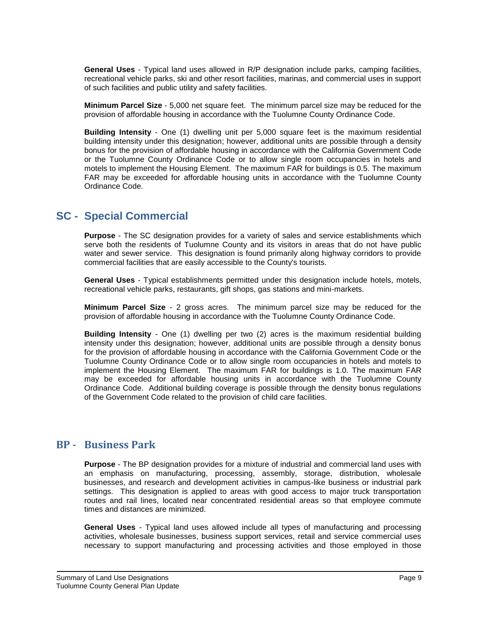**General Uses** - Typical land uses allowed in R/P designation include parks, camping facilities, recreational vehicle parks, ski and other resort facilities, marinas, and commercial uses in support of such facilities and public utility and safety facilities.

**Minimum Parcel Size** - 5,000 net square feet. The minimum parcel size may be reduced for the provision of affordable housing in accordance with the Tuolumne County Ordinance Code.

**Building Intensity** - One (1) dwelling unit per 5,000 square feet is the maximum residential building intensity under this designation; however, additional units are possible through a density bonus for the provision of affordable housing in accordance with the California Government Code or the Tuolumne County Ordinance Code or to allow single room occupancies in hotels and motels to implement the Housing Element. The maximum FAR for buildings is 0.5. The maximum FAR may be exceeded for affordable housing units in accordance with the Tuolumne County Ordinance Code.

## <span id="page-8-0"></span>**SC - Special Commercial**

**Purpose** - The SC designation provides for a variety of sales and service establishments which serve both the residents of Tuolumne County and its visitors in areas that do not have public water and sewer service. This designation is found primarily along highway corridors to provide commercial facilities that are easily accessible to the County's tourists.

**General Uses** - Typical establishments permitted under this designation include hotels, motels, recreational vehicle parks, restaurants, gift shops, gas stations and mini-markets.

**Minimum Parcel Size** - 2 gross acres. The minimum parcel size may be reduced for the provision of affordable housing in accordance with the Tuolumne County Ordinance Code.

**Building Intensity** - One (1) dwelling per two (2) acres is the maximum residential building intensity under this designation; however, additional units are possible through a density bonus for the provision of affordable housing in accordance with the California Government Code or the Tuolumne County Ordinance Code or to allow single room occupancies in hotels and motels to implement the Housing Element. The maximum FAR for buildings is 1.0. The maximum FAR may be exceeded for affordable housing units in accordance with the Tuolumne County Ordinance Code.Additional building coverage is possible through the density bonus regulations of the Government Code related to the provision of child care facilities.

#### <span id="page-8-1"></span>**BP - Business Park**

**Purpose** - The BP designation provides for a mixture of industrial and commercial land uses with an emphasis on manufacturing, processing, assembly, storage, distribution, wholesale businesses, and research and development activities in campus-like business or industrial park settings. This designation is applied to areas with good access to major truck transportation routes and rail lines, located near concentrated residential areas so that employee commute times and distances are minimized.

**General Uses** - Typical land uses allowed include all types of manufacturing and processing activities, wholesale businesses, business support services, retail and service commercial uses necessary to support manufacturing and processing activities and those employed in those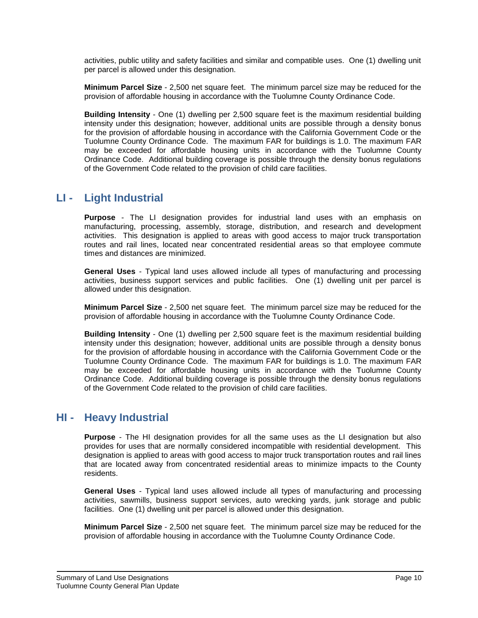activities, public utility and safety facilities and similar and compatible uses. One (1) dwelling unit per parcel is allowed under this designation.

**Minimum Parcel Size** - 2,500 net square feet. The minimum parcel size may be reduced for the provision of affordable housing in accordance with the Tuolumne County Ordinance Code.

**Building Intensity** - One (1) dwelling per 2,500 square feet is the maximum residential building intensity under this designation; however, additional units are possible through a density bonus for the provision of affordable housing in accordance with the California Government Code or the Tuolumne County Ordinance Code. The maximum FAR for buildings is 1.0. The maximum FAR may be exceeded for affordable housing units in accordance with the Tuolumne County Ordinance Code. Additional building coverage is possible through the density bonus regulations of the Government Code related to the provision of child care facilities.

## <span id="page-9-0"></span>**LI - Light Industrial**

**Purpose** - The LI designation provides for industrial land uses with an emphasis on manufacturing, processing, assembly, storage, distribution, and research and development activities. This designation is applied to areas with good access to major truck transportation routes and rail lines, located near concentrated residential areas so that employee commute times and distances are minimized.

**General Uses** - Typical land uses allowed include all types of manufacturing and processing activities, business support services and public facilities. One (1) dwelling unit per parcel is allowed under this designation.

**Minimum Parcel Size** - 2,500 net square feet. The minimum parcel size may be reduced for the provision of affordable housing in accordance with the Tuolumne County Ordinance Code.

**Building Intensity** - One (1) dwelling per 2,500 square feet is the maximum residential building intensity under this designation; however, additional units are possible through a density bonus for the provision of affordable housing in accordance with the California Government Code or the Tuolumne County Ordinance Code. The maximum FAR for buildings is 1.0. The maximum FAR may be exceeded for affordable housing units in accordance with the Tuolumne County Ordinance Code. Additional building coverage is possible through the density bonus regulations of the Government Code related to the provision of child care facilities.

## <span id="page-9-1"></span>**HI - Heavy Industrial**

**Purpose** - The HI designation provides for all the same uses as the LI designation but also provides for uses that are normally considered incompatible with residential development. This designation is applied to areas with good access to major truck transportation routes and rail lines that are located away from concentrated residential areas to minimize impacts to the County residents.

**General Uses** - Typical land uses allowed include all types of manufacturing and processing activities, sawmills, business support services, auto wrecking yards, junk storage and public facilities. One (1) dwelling unit per parcel is allowed under this designation.

**Minimum Parcel Size** - 2,500 net square feet. The minimum parcel size may be reduced for the provision of affordable housing in accordance with the Tuolumne County Ordinance Code.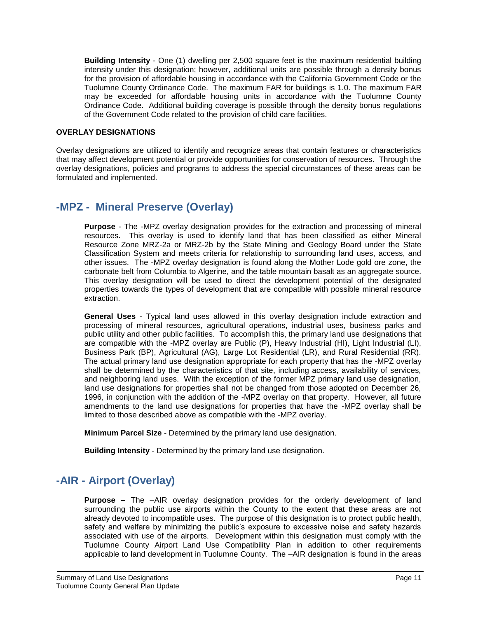**Building Intensity** - One (1) dwelling per 2,500 square feet is the maximum residential building intensity under this designation; however, additional units are possible through a density bonus for the provision of affordable housing in accordance with the California Government Code or the Tuolumne County Ordinance Code. The maximum FAR for buildings is 1.0. The maximum FAR may be exceeded for affordable housing units in accordance with the Tuolumne County Ordinance Code. Additional building coverage is possible through the density bonus regulations of the Government Code related to the provision of child care facilities.

#### **OVERLAY DESIGNATIONS**

Overlay designations are utilized to identify and recognize areas that contain features or characteristics that may affect development potential or provide opportunities for conservation of resources. Through the overlay designations, policies and programs to address the special circumstances of these areas can be formulated and implemented.

## <span id="page-10-0"></span>**-MPZ - Mineral Preserve (Overlay)**

**Purpose** - The -MPZ overlay designation provides for the extraction and processing of mineral resources. This overlay is used to identify land that has been classified as either Mineral Resource Zone MRZ-2a or MRZ-2b by the State Mining and Geology Board under the State Classification System and meets criteria for relationship to surrounding land uses, access, and other issues. The -MPZ overlay designation is found along the Mother Lode gold ore zone, the carbonate belt from Columbia to Algerine, and the table mountain basalt as an aggregate source. This overlay designation will be used to direct the development potential of the designated properties towards the types of development that are compatible with possible mineral resource extraction.

**General Uses** - Typical land uses allowed in this overlay designation include extraction and processing of mineral resources, agricultural operations, industrial uses, business parks and public utility and other public facilities. To accomplish this, the primary land use designations that are compatible with the -MPZ overlay are Public (P), Heavy Industrial (HI), Light Industrial (LI), Business Park (BP), Agricultural (AG), Large Lot Residential (LR), and Rural Residential (RR). The actual primary land use designation appropriate for each property that has the -MPZ overlay shall be determined by the characteristics of that site, including access, availability of services, and neighboring land uses. With the exception of the former MPZ primary land use designation, land use designations for properties shall not be changed from those adopted on December 26, 1996, in conjunction with the addition of the -MPZ overlay on that property. However, all future amendments to the land use designations for properties that have the -MPZ overlay shall be limited to those described above as compatible with the -MPZ overlay.

**Minimum Parcel Size** - Determined by the primary land use designation.

**Building Intensity** - Determined by the primary land use designation.

## <span id="page-10-1"></span>**-AIR - Airport (Overlay)**

**Purpose –** The –AIR overlay designation provides for the orderly development of land surrounding the public use airports within the County to the extent that these areas are not already devoted to incompatible uses. The purpose of this designation is to protect public health, safety and welfare by minimizing the public's exposure to excessive noise and safety hazards associated with use of the airports. Development within this designation must comply with the Tuolumne County Airport Land Use Compatibility Plan in addition to other requirements applicable to land development in Tuolumne County. The –AIR designation is found in the areas